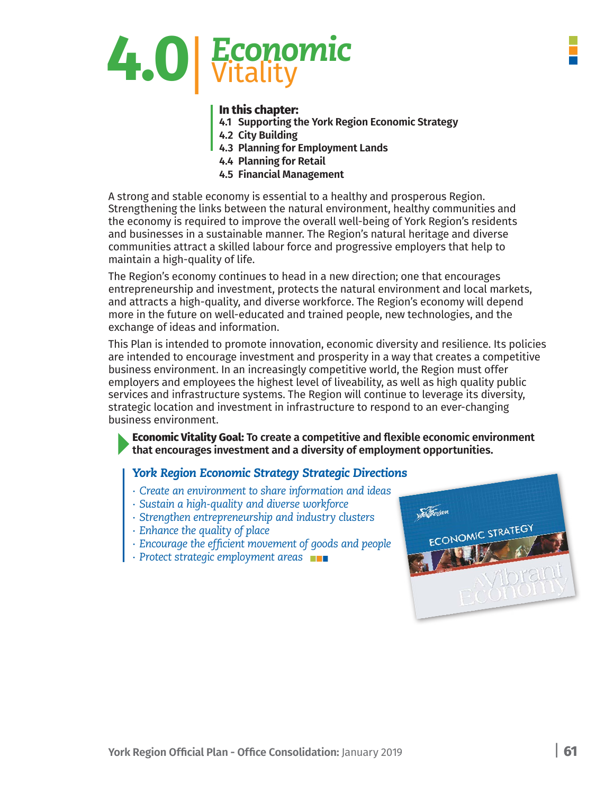

### **In this chapter:**

- **4.1 Supporting the York Region Economic Strategy**
- **4.2 City Building**
- **4.3 Planning for Employment Lands**
- **4.4 Planning for Retail**
- **4.5 Financial Management**

A strong and stable economy is essential to a healthy and prosperous Region. Strengthening the links between the natural environment, healthy communities and the economy is required to improve the overall well-being of York Region's residents and businesses in a sustainable manner. The Region's natural heritage and diverse communities attract a skilled labour force and progressive employers that help to maintain a high-quality of life.

The Region's economy continues to head in a new direction; one that encourages entrepreneurship and investment, protects the natural environment and local markets, and attracts a high-quality, and diverse workforce. The Region's economy will depend more in the future on well-educated and trained people, new technologies, and the exchange of ideas and information.

This Plan is intended to promote innovation, economic diversity and resilience. Its policies are intended to encourage investment and prosperity in a way that creates a competitive business environment. In an increasingly competitive world, the Region must offer employers and employees the highest level of liveability, as well as high quality public services and infrastructure systems. The Region will continue to leverage its diversity, strategic location and investment in infrastructure to respond to an ever-changing business environment.

**Economic Vitality Goal: To create a competitive and flexible economic environment that encourages investment and a diversity of employment opportunities.**

## *York Region Economic Strategy Strategic Directions*

- *∙ Create an environment to share information and ideas*
- *∙ Sustain a high-quality and diverse workforce*
- *∙ Strengthen entrepreneurship and industry clusters*
- *∙ Enhance the quality of place*
- *∙ Encourage the efficient movement of goods and people*
- *∙ Protect strategic employment areas*

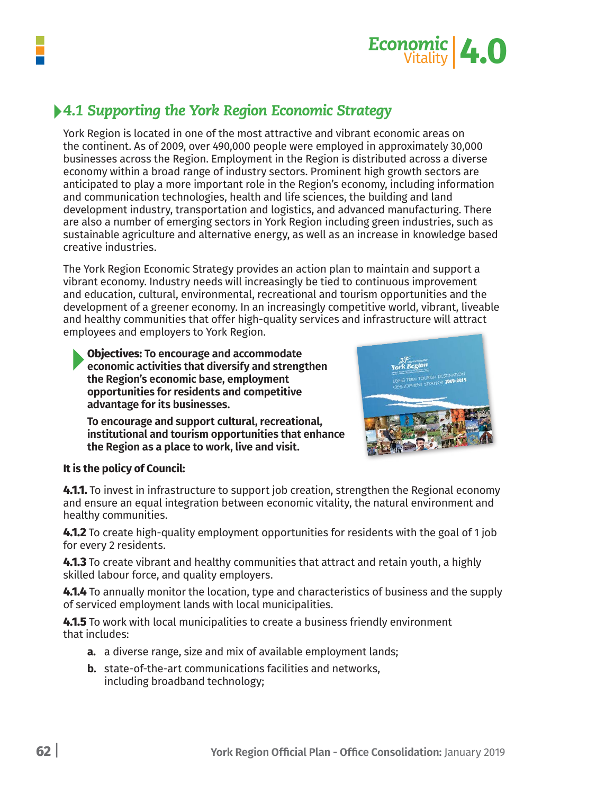



# *4.1 Supporting the York Region Economic Strategy*

York Region is located in one of the most attractive and vibrant economic areas on the continent. As of 2009, over 490,000 people were employed in approximately 30,000 businesses across the Region. Employment in the Region is distributed across a diverse economy within a broad range of industry sectors. Prominent high growth sectors are anticipated to play a more important role in the Region's economy, including information and communication technologies, health and life sciences, the building and land development industry, transportation and logistics, and advanced manufacturing. There are also a number of emerging sectors in York Region including green industries, such as sustainable agriculture and alternative energy, as well as an increase in knowledge based creative industries.

The York Region Economic Strategy provides an action plan to maintain and support a vibrant economy. Industry needs will increasingly be tied to continuous improvement and education, cultural, environmental, recreational and tourism opportunities and the development of a greener economy. In an increasingly competitive world, vibrant, liveable and healthy communities that offer high-quality services and infrastructure will attract employees and employers to York Region.

**Objectives: To encourage and accommodate economic activities that diversify and strengthen the Region's economic base, employment opportunities for residents and competitive advantage for its businesses.**

**To encourage and support cultural, recreational, institutional and tourism opportunities that enhance the Region as a place to work, live and visit.**



### **It is the policy of Council:**

**4.1.1.** To invest in infrastructure to support job creation, strengthen the Regional economy and ensure an equal integration between economic vitality, the natural environment and healthy communities.

**4.1.2** To create high-quality employment opportunities for residents with the goal of 1 job for every 2 residents.

**4.1.3** To create vibrant and healthy communities that attract and retain youth, a highly skilled labour force, and quality employers.

**4.1.4** To annually monitor the location, type and characteristics of business and the supply of serviced employment lands with local municipalities.

**4.1.5** To work with local municipalities to create a business friendly environment that includes:

- **a.** a diverse range, size and mix of available employment lands;
- **b.** state-of-the-art communications facilities and networks, including broadband technology;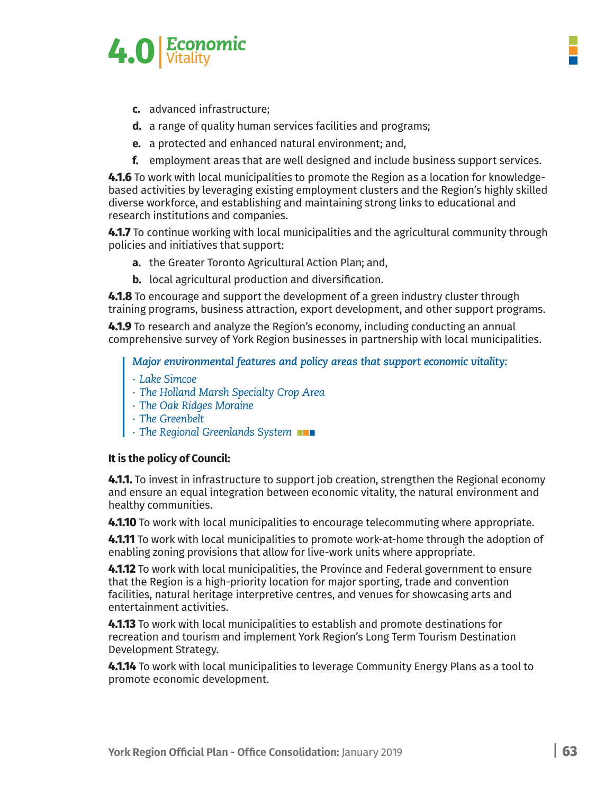

- **c.** advanced infrastructure;
- **d.** a range of quality human services facilities and programs;
- e. a protected and enhanced natural environment; and,
- f. employment areas that are well designed and include business support services.

4.1.6 To work with local municipalities to promote the Region as a location for knowledgebased activities by leveraging existing employment clusters and the Region's highly skilled diverse workforce, and establishing and maintaining strong links to educational and research institutions and companies.

4.1.7 To continue working with local municipalities and the agricultural community through policies and initiatives that support:

- a. the Greater Toronto Agricultural Action Plan; and,
- **b.** local agricultural production and diversification.

4.1.8 To encourage and support the development of a green industry cluster through training programs, business attraction, export development, and other support programs.

4.1.9 To research and analyze the Region's economy, including conducting an annual comprehensive survey of York Region businesses in partnership with local municipalities.

*Major environmental features and policy areas that support economic vitality:* 

- *∙ Lake Simcoe*
- *∙ The Holland Marsh Specialty Crop Area*
- *∙ The Oak Ridges Moraine*
- *∙ The Greenbelt*
- *∙ The Regional Greenlands System*

### **It is the policy of Council:**

**4.1.1.** To invest in infrastructure to support job creation, strengthen the Regional economy and ensure an equal integration between economic vitality, the natural environment and healthy communities.

**4.1.10** To work with local municipalities to encourage telecommuting where appropriate.

**4.1.11** To work with local municipalities to promote work-at-home through the adoption of enabling zoning provisions that allow for live-work units where appropriate.

**4.1.12** To work with local municipalities, the Province and Federal government to ensure that the Region is a high-priority location for major sporting, trade and convention facilities, natural heritage interpretive centres, and venues for showcasing arts and entertainment activities.

**4.1.13** To work with local municipalities to establish and promote destinations for recreation and tourism and implement York Region's Long Term Tourism Destination Development Strategy.

**4.1.14** To work with local municipalities to leverage Community Energy Plans as a tool to promote economic development.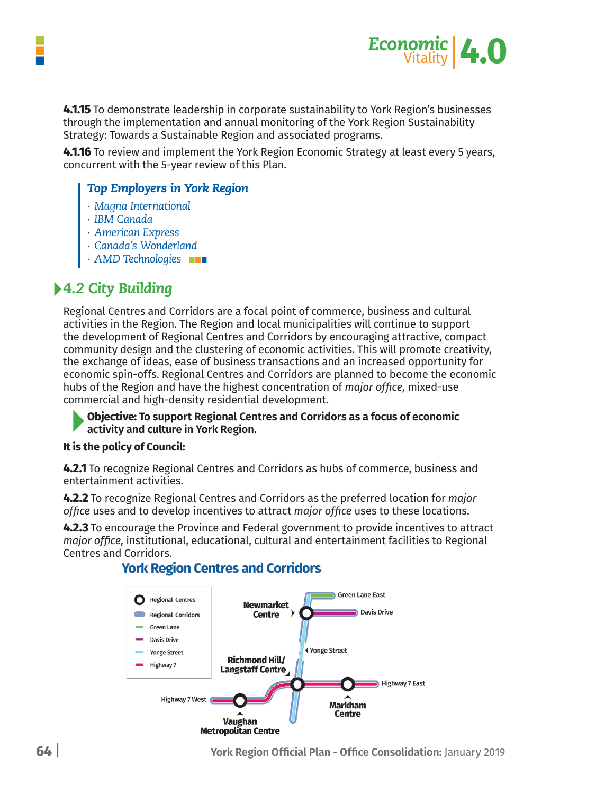

**4.1.15** To demonstrate leadership in corporate sustainability to York Region's businesses through the implementation and annual monitoring of the York Region Sustainability Strategy: Towards a Sustainable Region and associated programs.

**4.1.16** To review and implement the York Region Economic Strategy at least every 5 years, concurrent with the 5-year review of this Plan.

## *Top Employers in York Region*

- *∙ Magna International*
- *∙ IBM Canada*
- *∙ American Express*
- *∙ Canada's Wonderland*
- *∙ AMD Technologies*

# *4.2 City Building*

Regional Centres and Corridors are a focal point of commerce, business and cultural activities in the Region. The Region and local municipalities will continue to support the development of Regional Centres and Corridors by encouraging attractive, compact community design and the clustering of economic activities. This will promote creativity, the exchange of ideas, ease of business transactions and an increased opportunity for economic spin-offs. Regional Centres and Corridors are planned to become the economic hubs of the Region and have the highest concentration of *major office,* mixed-use commercial and high-density residential development.

**Objective: To support Regional Centres and Corridors as a focus of economic activity and culture in York Region.**

### **It is the policy of Council:**

**4.2.1** To recognize Regional Centres and Corridors as hubs of commerce, business and entertainment activities.

**4.2.2** To recognize Regional Centres and Corridors as the preferred location for *major office* uses and to develop incentives to attract *major office* uses to these locations.

**4.2.3** To encourage the Province and Federal government to provide incentives to attract *major office,* institutional, educational, cultural and entertainment facilities to Regional Centres and Corridors.



## **York Region Centres and Corridors**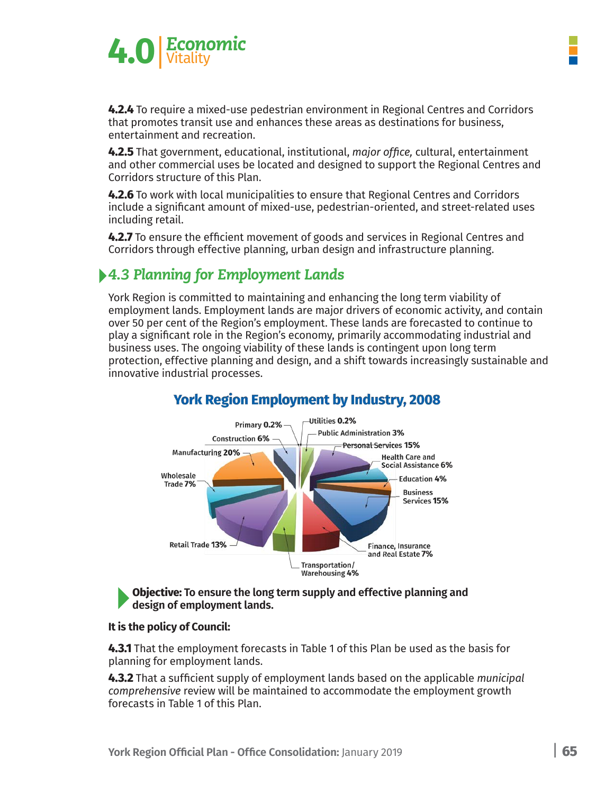

**4.2.4** To require a mixed-use pedestrian environment in Regional Centres and Corridors that promotes transit use and enhances these areas as destinations for business, entertainment and recreation.

**4.2.5** That government, educational, institutional, *major office,* cultural, entertainment and other commercial uses be located and designed to support the Regional Centres and Corridors structure of this Plan.

**4.2.6** To work with local municipalities to ensure that Regional Centres and Corridors include a significant amount of mixed-use, pedestrian-oriented, and street-related uses including retail.

**4.2.7** To ensure the efficient movement of goods and services in Regional Centres and Corridors through effective planning, urban design and infrastructure planning.

# *4.3 Planning for Employment Lands*

York Region is committed to maintaining and enhancing the long term viability of employment lands. Employment lands are major drivers of economic activity, and contain over 50 per cent of the Region's employment. These lands are forecasted to continue to play a significant role in the Region's economy, primarily accommodating industrial and business uses. The ongoing viability of these lands is contingent upon long term protection, effective planning and design, and a shift towards increasingly sustainable and innovative industrial processes.



# **York Region Employment by Industry, 2008**

#### **Objective: To ensure the long term supply and effective planning and design of employment lands.**

### **It is the policy of Council:**

**4.3.1** That the employment forecasts in Table 1 of this Plan be used as the basis for planning for employment lands.

**4.3.2** That a sufficient supply of employment lands based on the applicable *municipal comprehensive* review will be maintained to accommodate the employment growth forecasts in Table 1 of this Plan.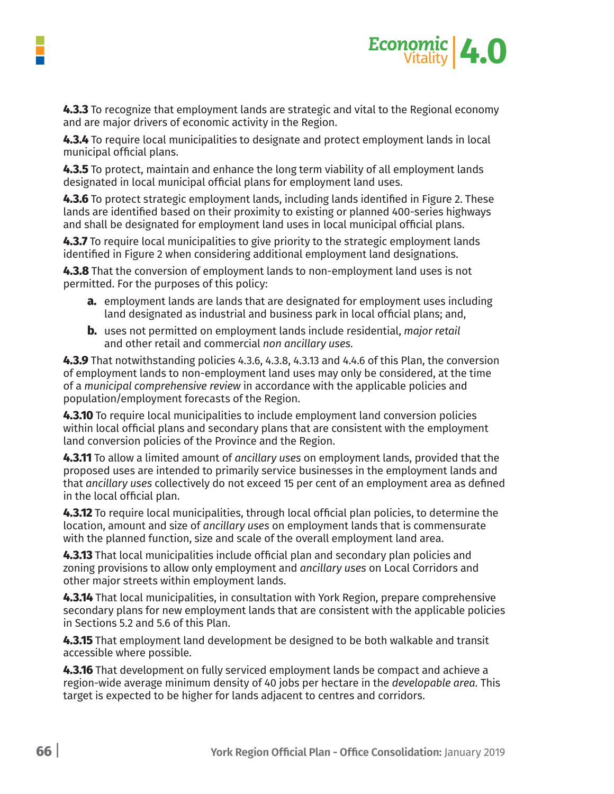

**4.3.3** To recognize that employment lands are strategic and vital to the Regional economy and are major drivers of economic activity in the Region.

**4.3.4** To require local municipalities to designate and protect employment lands in local municipal official plans.

**4.3.5** To protect, maintain and enhance the long term viability of all employment lands designated in local municipal official plans for employment land uses.

**4.3.6** To protect strategic employment lands, including lands identified in Figure 2. These lands are identified based on their proximity to existing or planned 400-series highways and shall be designated for employment land uses in local municipal official plans.

**4.3.7** To require local municipalities to give priority to the strategic employment lands identified in Figure 2 when considering additional employment land designations.

**4.3.8** That the conversion of employment lands to non-employment land uses is not permitted. For the purposes of this policy:

- **a.** employment lands are lands that are designated for employment uses including land designated as industrial and business park in local official plans; and,
- **b.** uses not permitted on employment lands include residential, *major retail* and other retail and commercial *non ancillary uses.*

**4.3.9** That notwithstanding policies 4.3.6, 4.3.8, 4.3.13 and 4.4.6 of this Plan, the conversion of employment lands to non-employment land uses may only be considered, at the time of a *municipal comprehensive review* in accordance with the applicable policies and population/employment forecasts of the Region.

**4.3.10** To require local municipalities to include employment land conversion policies within local official plans and secondary plans that are consistent with the employment land conversion policies of the Province and the Region.

**4.3.11** To allow a limited amount of *ancillary uses* on employment lands, provided that the proposed uses are intended to primarily service businesses in the employment lands and that *ancillary uses* collectively do not exceed 15 per cent of an employment area as defined in the local official plan.

**4.3.12** To require local municipalities, through local official plan policies, to determine the location, amount and size of *ancillary uses* on employment lands that is commensurate with the planned function, size and scale of the overall employment land area.

**4.3.13** That local municipalities include official plan and secondary plan policies and zoning provisions to allow only employment and *ancillary uses* on Local Corridors and other major streets within employment lands.

**4.3.14** That local municipalities, in consultation with York Region, prepare comprehensive secondary plans for new employment lands that are consistent with the applicable policies in Sections 5.2 and 5.6 of this Plan.

**4.3.15** That employment land development be designed to be both walkable and transit accessible where possible.

**4.3.16** That development on fully serviced employment lands be compact and achieve a region-wide average minimum density of 40 jobs per hectare in the *developable area.* This target is expected to be higher for lands adjacent to centres and corridors.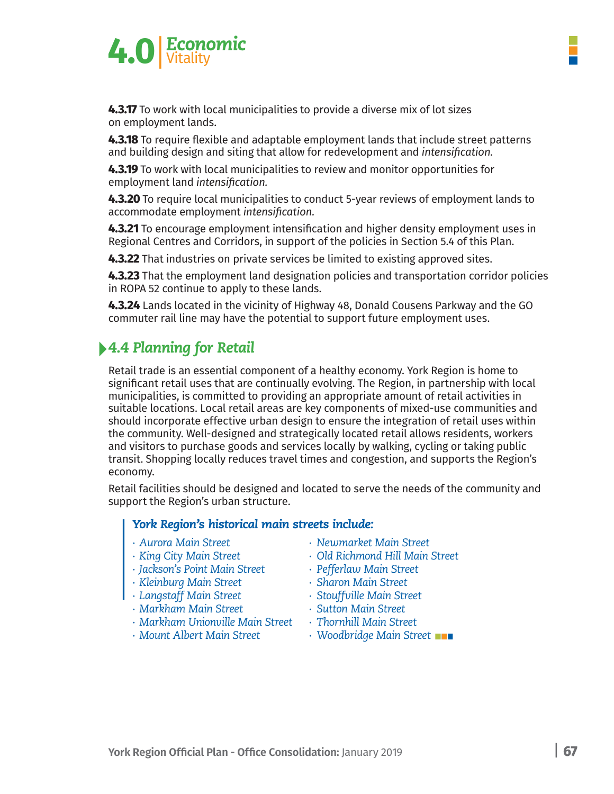



**4.3.17** To work with local municipalities to provide a diverse mix of lot sizes on employment lands.

**4.3.18** To require flexible and adaptable employment lands that include street patterns and building design and siting that allow for redevelopment and *intensification.*

**4.3.19** To work with local municipalities to review and monitor opportunities for employment land *intensification.*

**4.3.20** To require local municipalities to conduct 5-year reviews of employment lands to accommodate employment *intensification.*

**4.3.21** To encourage employment intensification and higher density employment uses in Regional Centres and Corridors, in support of the policies in Section 5.4 of this Plan.

**4.3.22** That industries on private services be limited to existing approved sites.

**4.3.23** That the employment land designation policies and transportation corridor policies in ROPA 52 continue to apply to these lands.

**4.3.24** Lands located in the vicinity of Highway 48, Donald Cousens Parkway and the GO commuter rail line may have the potential to support future employment uses.

# *4.4 Planning for Retail*

Retail trade is an essential component of a healthy economy. York Region is home to significant retail uses that are continually evolving. The Region, in partnership with local municipalities, is committed to providing an appropriate amount of retail activities in suitable locations. Local retail areas are key components of mixed-use communities and should incorporate effective urban design to ensure the integration of retail uses within the community. Well-designed and strategically located retail allows residents, workers and visitors to purchase goods and services locally by walking, cycling or taking public transit. Shopping locally reduces travel times and congestion, and supports the Region's economy.

Retail facilities should be designed and located to serve the needs of the community and support the Region's urban structure.

## *York Region's historical main streets include:*

- 
- 
- *∙ Jackson's Point Main Street ∙ Pefferlaw Main Street*
- *∙ Kleinburg Main Street ∙ Sharon Main Street*
- 
- *∙ Markham Main Street ∙ Sutton Main Street*
- *∙ Markham Unionville Main Street ∙ Thornhill Main Street*
- 
- *∙ Aurora Main Street ∙ Newmarket Main Street*
- *∙ King City Main Street ∙ Old Richmond Hill Main Street*
	-
	-
- *∙ Langstaff Main Street ∙ Stouffville Main Street*
	-
	-
- *∙ Mount Albert Main Street ∙ Woodbridge Main Street*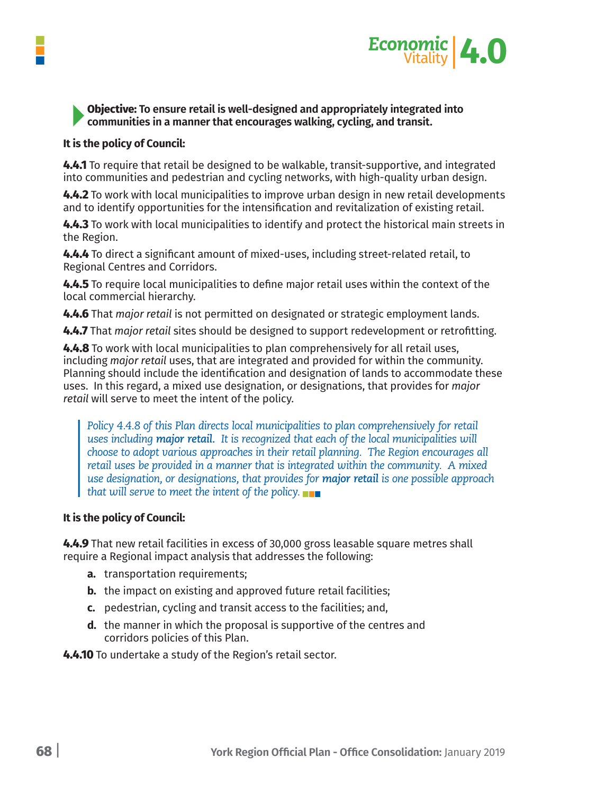

### **Objective: To ensure retail is well-designed and appropriately integrated into communities in a manner that encourages walking, cycling, and transit.**

### **It is the policy of Council:**

**4.4.1** To require that retail be designed to be walkable, transit-supportive, and integrated into communities and pedestrian and cycling networks, with high-quality urban design.

**4.4.2** To work with local municipalities to improve urban design in new retail developments and to identify opportunities for the intensification and revitalization of existing retail.

**4.4.3** To work with local municipalities to identify and protect the historical main streets in the Region.

**4.4.4** To direct a significant amount of mixed-uses, including street-related retail, to Regional Centres and Corridors.

**4.4.5** To require local municipalities to define major retail uses within the context of the local commercial hierarchy.

**4.4.6** That *major retail* is not permitted on designated or strategic employment lands.

**4.4.7** That *major retail* sites should be designed to support redevelopment or retrofitting.

**4.4.8** To work with local municipalities to plan comprehensively for all retail uses, including *major retail* uses, that are integrated and provided for within the community. Planning should include the identification and designation of lands to accommodate these uses. In this regard, a mixed use designation, or designations, that provides for *major retail* will serve to meet the intent of the policy.

*Policy 4.4.8 of this Plan directs local municipalities to plan comprehensively for retail uses including major retail. It is recognized that each of the local municipalities will choose to adopt various approaches in their retail planning. The Region encourages all retail uses be provided in a manner that is integrated within the community. A mixed use designation, or designations, that provides for major retail is one possible approach that will serve to meet the intent of the policy.*

### **It is the policy of Council:**

**4.4.9** That new retail facilities in excess of 30,000 gross leasable square metres shall require a Regional impact analysis that addresses the following:

- **a.** transportation requirements;
- **b.** the impact on existing and approved future retail facilities;
- **c.** pedestrian, cycling and transit access to the facilities; and,
- **d.** the manner in which the proposal is supportive of the centres and corridors policies of this Plan.

**4.4.10** To undertake a study of the Region's retail sector.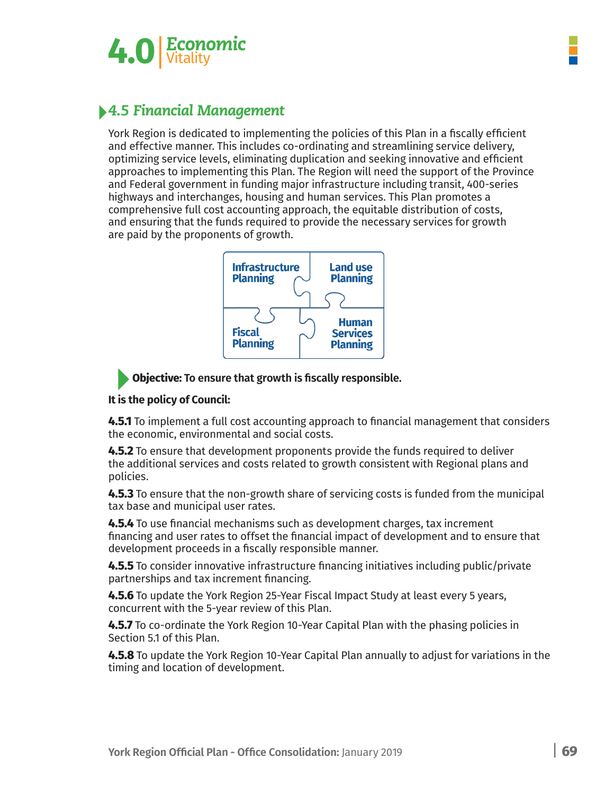

# *4.5 Financial Management*

York Region is dedicated to implementing the policies of this Plan in a fiscally efficient and effective manner. This includes co-ordinating and streamlining service delivery, optimizing service levels, eliminating duplication and seeking innovative and efficient approaches to implementing this Plan. The Region will need the support of the Province and Federal government in funding major infrastructure including transit, 400-series highways and interchanges, housing and human services. This Plan promotes a comprehensive full cost accounting approach, the equitable distribution of costs, and ensuring that the funds required to provide the necessary services for growth are paid by the proponents of growth.



**Objective: To ensure that growth is fiscally responsible.**

## **It is the policy of Council:**

**4.5.1** To implement a full cost accounting approach to financial management that considers the economic, environmental and social costs.

**4.5.2** To ensure that development proponents provide the funds required to deliver the additional services and costs related to growth consistent with Regional plans and policies.

**4.5.3** To ensure that the non-growth share of servicing costs is funded from the municipal tax base and municipal user rates.

**4.5.4** To use financial mechanisms such as development charges, tax increment financing and user rates to offset the financial impact of development and to ensure that development proceeds in a fiscally responsible manner.

**4.5.5** To consider innovative infrastructure financing initiatives including public/private partnerships and tax increment financing.

**4.5.6** To update the York Region 25-Year Fiscal Impact Study at least every 5 years, concurrent with the 5-year review of this Plan.

**4.5.7** To co-ordinate the York Region 10-Year Capital Plan with the phasing policies in Section 5.1 of this Plan.

**4.5.8** To update the York Region 10-Year Capital Plan annually to adjust for variations in the timing and location of development.